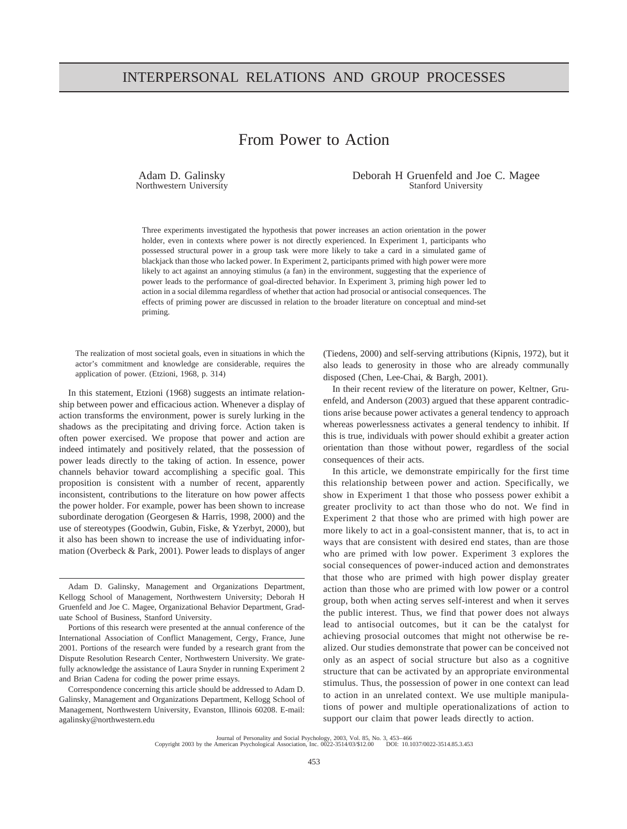## INTERPERSONAL RELATIONS AND GROUP PROCESSES

# From Power to Action

Adam D. Galinsky Northwestern University Deborah H Gruenfeld and Joe C. Magee Stanford University

Three experiments investigated the hypothesis that power increases an action orientation in the power holder, even in contexts where power is not directly experienced. In Experiment 1, participants who possessed structural power in a group task were more likely to take a card in a simulated game of blackjack than those who lacked power. In Experiment 2, participants primed with high power were more likely to act against an annoying stimulus (a fan) in the environment, suggesting that the experience of power leads to the performance of goal-directed behavior. In Experiment 3, priming high power led to action in a social dilemma regardless of whether that action had prosocial or antisocial consequences. The effects of priming power are discussed in relation to the broader literature on conceptual and mind-set priming.

The realization of most societal goals, even in situations in which the actor's commitment and knowledge are considerable, requires the application of power. (Etzioni, 1968, p. 314)

In this statement, Etzioni (1968) suggests an intimate relationship between power and efficacious action. Whenever a display of action transforms the environment, power is surely lurking in the shadows as the precipitating and driving force. Action taken is often power exercised. We propose that power and action are indeed intimately and positively related, that the possession of power leads directly to the taking of action. In essence, power channels behavior toward accomplishing a specific goal. This proposition is consistent with a number of recent, apparently inconsistent, contributions to the literature on how power affects the power holder. For example, power has been shown to increase subordinate derogation (Georgesen & Harris, 1998, 2000) and the use of stereotypes (Goodwin, Gubin, Fiske, & Yzerbyt, 2000), but it also has been shown to increase the use of individuating information (Overbeck & Park, 2001). Power leads to displays of anger

Adam D. Galinsky, Management and Organizations Department, Kellogg School of Management, Northwestern University; Deborah H Gruenfeld and Joe C. Magee, Organizational Behavior Department, Graduate School of Business, Stanford University.

Portions of this research were presented at the annual conference of the International Association of Conflict Management, Cergy, France, June 2001. Portions of the research were funded by a research grant from the Dispute Resolution Research Center, Northwestern University. We gratefully acknowledge the assistance of Laura Snyder in running Experiment 2 and Brian Cadena for coding the power prime essays.

Correspondence concerning this article should be addressed to Adam D. Galinsky, Management and Organizations Department, Kellogg School of Management, Northwestern University, Evanston, Illinois 60208. E-mail: agalinsky@northwestern.edu

(Tiedens, 2000) and self-serving attributions (Kipnis, 1972), but it also leads to generosity in those who are already communally disposed (Chen, Lee-Chai, & Bargh, 2001).

In their recent review of the literature on power, Keltner, Gruenfeld, and Anderson (2003) argued that these apparent contradictions arise because power activates a general tendency to approach whereas powerlessness activates a general tendency to inhibit. If this is true, individuals with power should exhibit a greater action orientation than those without power, regardless of the social consequences of their acts.

In this article, we demonstrate empirically for the first time this relationship between power and action. Specifically, we show in Experiment 1 that those who possess power exhibit a greater proclivity to act than those who do not. We find in Experiment 2 that those who are primed with high power are more likely to act in a goal-consistent manner, that is, to act in ways that are consistent with desired end states, than are those who are primed with low power. Experiment 3 explores the social consequences of power-induced action and demonstrates that those who are primed with high power display greater action than those who are primed with low power or a control group, both when acting serves self-interest and when it serves the public interest. Thus, we find that power does not always lead to antisocial outcomes, but it can be the catalyst for achieving prosocial outcomes that might not otherwise be realized. Our studies demonstrate that power can be conceived not only as an aspect of social structure but also as a cognitive structure that can be activated by an appropriate environmental stimulus. Thus, the possession of power in one context can lead to action in an unrelated context. We use multiple manipulations of power and multiple operationalizations of action to support our claim that power leads directly to action.

Journal of Personality and Social Psychology, 2003, Vol. 85, No. 3, 453–466<br>Copyright 2003 by the American Psychological Association, Inc. 0022-3514/03/\$12.00 DOI: 10.1037/0022-3514.85.3.453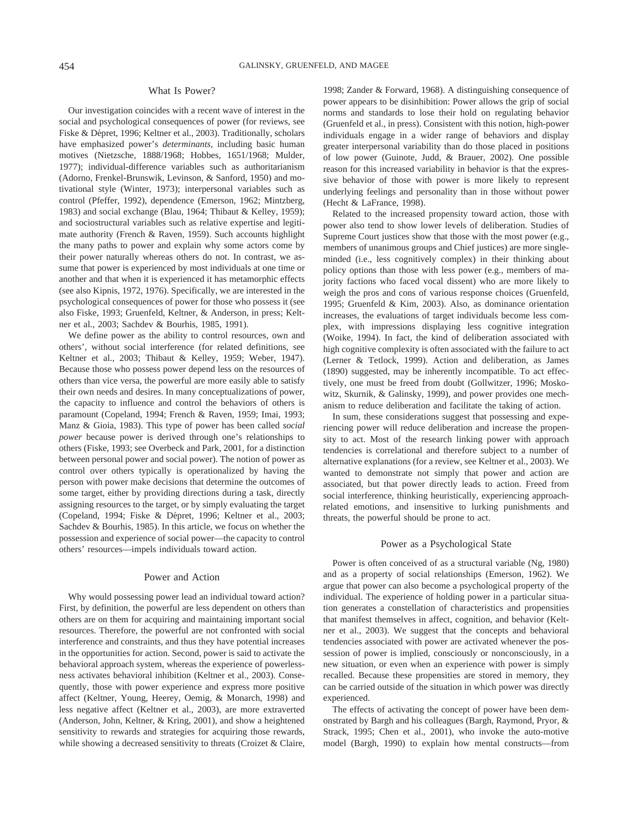### What Is Power?

Our investigation coincides with a recent wave of interest in the social and psychological consequences of power (for reviews, see Fiske & Dépret, 1996; Keltner et al., 2003). Traditionally, scholars have emphasized power's *determinants*, including basic human motives (Nietzsche, 1888/1968; Hobbes, 1651/1968; Mulder, 1977); individual-difference variables such as authoritarianism (Adorno, Frenkel-Brunswik, Levinson, & Sanford, 1950) and motivational style (Winter, 1973); interpersonal variables such as control (Pfeffer, 1992), dependence (Emerson, 1962; Mintzberg, 1983) and social exchange (Blau, 1964; Thibaut & Kelley, 1959); and sociostructural variables such as relative expertise and legitimate authority (French & Raven, 1959). Such accounts highlight the many paths to power and explain why some actors come by their power naturally whereas others do not. In contrast, we assume that power is experienced by most individuals at one time or another and that when it is experienced it has metamorphic effects (see also Kipnis, 1972, 1976). Specifically, we are interested in the psychological consequences of power for those who possess it (see also Fiske, 1993; Gruenfeld, Keltner, & Anderson, in press; Keltner et al., 2003; Sachdev & Bourhis, 1985, 1991).

We define power as the ability to control resources, own and others', without social interference (for related definitions, see Keltner et al., 2003; Thibaut & Kelley, 1959; Weber, 1947). Because those who possess power depend less on the resources of others than vice versa, the powerful are more easily able to satisfy their own needs and desires. In many conceptualizations of power, the capacity to influence and control the behaviors of others is paramount (Copeland, 1994; French & Raven, 1959; Imai, 1993; Manz & Gioia, 1983). This type of power has been called *social power* because power is derived through one's relationships to others (Fiske, 1993; see Overbeck and Park, 2001, for a distinction between personal power and social power). The notion of power as control over others typically is operationalized by having the person with power make decisions that determine the outcomes of some target, either by providing directions during a task, directly assigning resources to the target, or by simply evaluating the target (Copeland, 1994; Fiske & Dépret, 1996; Keltner et al., 2003; Sachdev & Bourhis, 1985). In this article, we focus on whether the possession and experience of social power—the capacity to control others' resources—impels individuals toward action.

### Power and Action

Why would possessing power lead an individual toward action? First, by definition, the powerful are less dependent on others than others are on them for acquiring and maintaining important social resources. Therefore, the powerful are not confronted with social interference and constraints, and thus they have potential increases in the opportunities for action. Second, power is said to activate the behavioral approach system, whereas the experience of powerlessness activates behavioral inhibition (Keltner et al., 2003). Consequently, those with power experience and express more positive affect (Keltner, Young, Heerey, Oemig, & Monarch, 1998) and less negative affect (Keltner et al., 2003), are more extraverted (Anderson, John, Keltner, & Kring, 2001), and show a heightened sensitivity to rewards and strategies for acquiring those rewards, while showing a decreased sensitivity to threats (Croizet & Claire, 1998; Zander & Forward, 1968). A distinguishing consequence of power appears to be disinhibition: Power allows the grip of social norms and standards to lose their hold on regulating behavior (Gruenfeld et al., in press). Consistent with this notion, high-power individuals engage in a wider range of behaviors and display greater interpersonal variability than do those placed in positions of low power (Guinote, Judd, & Brauer, 2002). One possible reason for this increased variability in behavior is that the expressive behavior of those with power is more likely to represent underlying feelings and personality than in those without power (Hecht & LaFrance, 1998).

Related to the increased propensity toward action, those with power also tend to show lower levels of deliberation. Studies of Supreme Court justices show that those with the most power (e.g., members of unanimous groups and Chief justices) are more singleminded (i.e., less cognitively complex) in their thinking about policy options than those with less power (e.g., members of majority factions who faced vocal dissent) who are more likely to weigh the pros and cons of various response choices (Gruenfeld, 1995; Gruenfeld & Kim, 2003). Also, as dominance orientation increases, the evaluations of target individuals become less complex, with impressions displaying less cognitive integration (Woike, 1994). In fact, the kind of deliberation associated with high cognitive complexity is often associated with the failure to act (Lerner & Tetlock, 1999). Action and deliberation, as James (1890) suggested, may be inherently incompatible. To act effectively, one must be freed from doubt (Gollwitzer, 1996; Moskowitz, Skurnik, & Galinsky, 1999), and power provides one mechanism to reduce deliberation and facilitate the taking of action.

In sum, these considerations suggest that possessing and experiencing power will reduce deliberation and increase the propensity to act. Most of the research linking power with approach tendencies is correlational and therefore subject to a number of alternative explanations (for a review, see Keltner et al., 2003). We wanted to demonstrate not simply that power and action are associated, but that power directly leads to action. Freed from social interference, thinking heuristically, experiencing approachrelated emotions, and insensitive to lurking punishments and threats, the powerful should be prone to act.

### Power as a Psychological State

Power is often conceived of as a structural variable (Ng, 1980) and as a property of social relationships (Emerson, 1962). We argue that power can also become a psychological property of the individual. The experience of holding power in a particular situation generates a constellation of characteristics and propensities that manifest themselves in affect, cognition, and behavior (Keltner et al., 2003). We suggest that the concepts and behavioral tendencies associated with power are activated whenever the possession of power is implied, consciously or nonconsciously, in a new situation, or even when an experience with power is simply recalled. Because these propensities are stored in memory, they can be carried outside of the situation in which power was directly experienced.

The effects of activating the concept of power have been demonstrated by Bargh and his colleagues (Bargh, Raymond, Pryor, & Strack, 1995; Chen et al., 2001), who invoke the auto-motive model (Bargh, 1990) to explain how mental constructs—from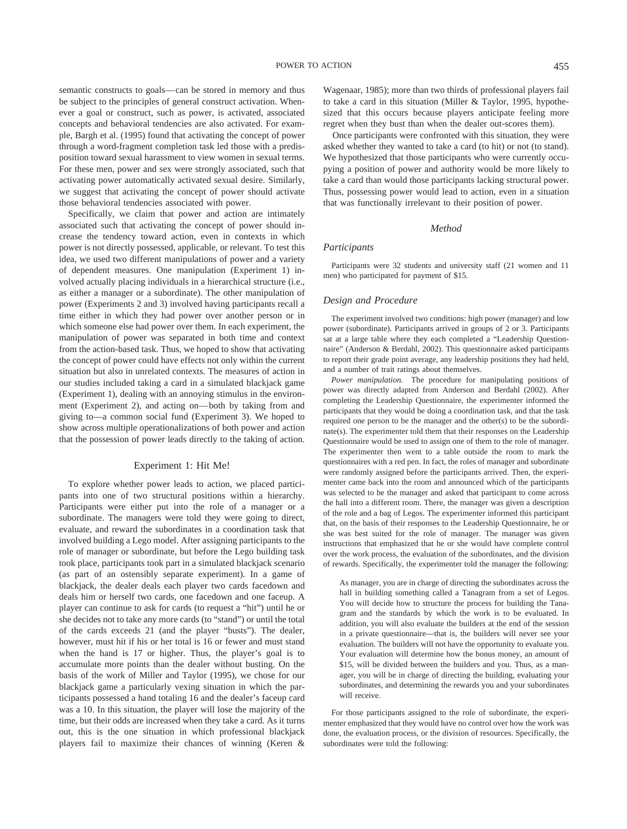semantic constructs to goals—can be stored in memory and thus be subject to the principles of general construct activation. Whenever a goal or construct, such as power, is activated, associated concepts and behavioral tendencies are also activated. For example, Bargh et al. (1995) found that activating the concept of power through a word-fragment completion task led those with a predisposition toward sexual harassment to view women in sexual terms. For these men, power and sex were strongly associated, such that activating power automatically activated sexual desire. Similarly, we suggest that activating the concept of power should activate those behavioral tendencies associated with power.

Specifically, we claim that power and action are intimately associated such that activating the concept of power should increase the tendency toward action, even in contexts in which power is not directly possessed, applicable, or relevant. To test this idea, we used two different manipulations of power and a variety of dependent measures. One manipulation (Experiment 1) involved actually placing individuals in a hierarchical structure (i.e., as either a manager or a subordinate). The other manipulation of power (Experiments 2 and 3) involved having participants recall a time either in which they had power over another person or in which someone else had power over them. In each experiment, the manipulation of power was separated in both time and context from the action-based task. Thus, we hoped to show that activating the concept of power could have effects not only within the current situation but also in unrelated contexts. The measures of action in our studies included taking a card in a simulated blackjack game (Experiment 1), dealing with an annoying stimulus in the environment (Experiment 2), and acting on—both by taking from and giving to—a common social fund (Experiment 3). We hoped to show across multiple operationalizations of both power and action that the possession of power leads directly to the taking of action.

### Experiment 1: Hit Me!

To explore whether power leads to action, we placed participants into one of two structural positions within a hierarchy. Participants were either put into the role of a manager or a subordinate. The managers were told they were going to direct, evaluate, and reward the subordinates in a coordination task that involved building a Lego model. After assigning participants to the role of manager or subordinate, but before the Lego building task took place, participants took part in a simulated blackjack scenario (as part of an ostensibly separate experiment). In a game of blackjack, the dealer deals each player two cards facedown and deals him or herself two cards, one facedown and one faceup. A player can continue to ask for cards (to request a "hit") until he or she decides not to take any more cards (to "stand") or until the total of the cards exceeds 21 (and the player "busts"). The dealer, however, must hit if his or her total is 16 or fewer and must stand when the hand is 17 or higher. Thus, the player's goal is to accumulate more points than the dealer without busting. On the basis of the work of Miller and Taylor (1995), we chose for our blackjack game a particularly vexing situation in which the participants possessed a hand totaling 16 and the dealer's faceup card was a 10. In this situation, the player will lose the majority of the time, but their odds are increased when they take a card. As it turns out, this is the one situation in which professional blackjack players fail to maximize their chances of winning (Keren &

Wagenaar, 1985); more than two thirds of professional players fail to take a card in this situation (Miller & Taylor, 1995, hypothesized that this occurs because players anticipate feeling more regret when they bust than when the dealer out-scores them).

Once participants were confronted with this situation, they were asked whether they wanted to take a card (to hit) or not (to stand). We hypothesized that those participants who were currently occupying a position of power and authority would be more likely to take a card than would those participants lacking structural power. Thus, possessing power would lead to action, even in a situation that was functionally irrelevant to their position of power.

### *Method*

### *Participants*

Participants were 32 students and university staff (21 women and 11 men) who participated for payment of \$15.

### *Design and Procedure*

The experiment involved two conditions: high power (manager) and low power (subordinate). Participants arrived in groups of 2 or 3. Participants sat at a large table where they each completed a "Leadership Questionnaire" (Anderson & Berdahl, 2002). This questionnaire asked participants to report their grade point average, any leadership positions they had held, and a number of trait ratings about themselves.

*Power manipulation.* The procedure for manipulating positions of power was directly adapted from Anderson and Berdahl (2002). After completing the Leadership Questionnaire, the experimenter informed the participants that they would be doing a coordination task, and that the task required one person to be the manager and the other(s) to be the subordinate(s). The experimenter told them that their responses on the Leadership Questionnaire would be used to assign one of them to the role of manager. The experimenter then went to a table outside the room to mark the questionnaires with a red pen. In fact, the roles of manager and subordinate were randomly assigned before the participants arrived. Then, the experimenter came back into the room and announced which of the participants was selected to be the manager and asked that participant to come across the hall into a different room. There, the manager was given a description of the role and a bag of Legos. The experimenter informed this participant that, on the basis of their responses to the Leadership Questionnaire, he or she was best suited for the role of manager. The manager was given instructions that emphasized that he or she would have complete control over the work process, the evaluation of the subordinates, and the division of rewards. Specifically, the experimenter told the manager the following:

As manager, you are in charge of directing the subordinates across the hall in building something called a Tanagram from a set of Legos. You will decide how to structure the process for building the Tanagram and the standards by which the work is to be evaluated. In addition, you will also evaluate the builders at the end of the session in a private questionnaire—that is, the builders will never see your evaluation. The builders will not have the opportunity to evaluate you. Your evaluation will determine how the bonus money, an amount of \$15, will be divided between the builders and you. Thus, as a manager, you will be in charge of directing the building, evaluating your subordinates, and determining the rewards you and your subordinates will receive.

For those participants assigned to the role of subordinate, the experimenter emphasized that they would have no control over how the work was done, the evaluation process, or the division of resources. Specifically, the subordinates were told the following: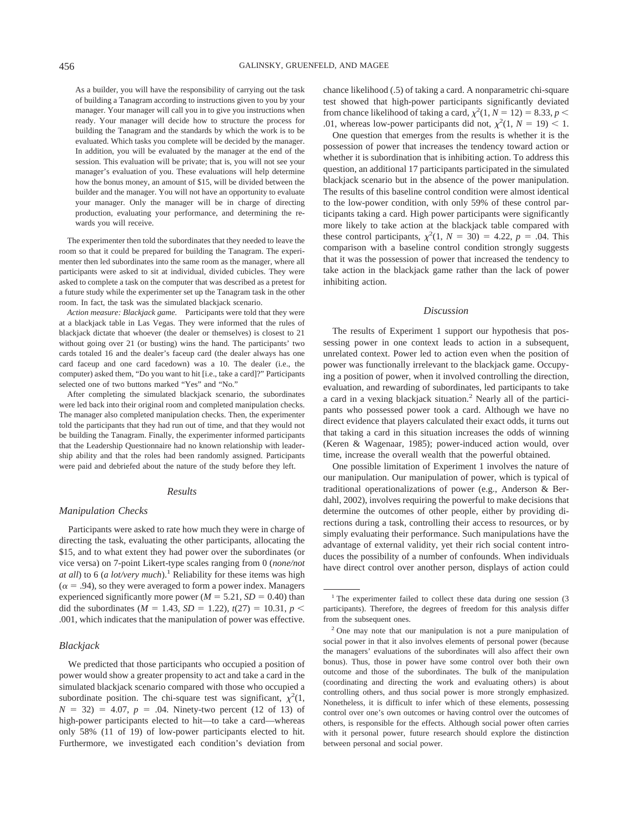As a builder, you will have the responsibility of carrying out the task of building a Tanagram according to instructions given to you by your manager. Your manager will call you in to give you instructions when ready. Your manager will decide how to structure the process for building the Tanagram and the standards by which the work is to be evaluated. Which tasks you complete will be decided by the manager. In addition, you will be evaluated by the manager at the end of the session. This evaluation will be private; that is, you will not see your manager's evaluation of you. These evaluations will help determine how the bonus money, an amount of \$15, will be divided between the builder and the manager. You will not have an opportunity to evaluate your manager. Only the manager will be in charge of directing production, evaluating your performance, and determining the rewards you will receive.

The experimenter then told the subordinates that they needed to leave the room so that it could be prepared for building the Tanagram. The experimenter then led subordinates into the same room as the manager, where all participants were asked to sit at individual, divided cubicles. They were asked to complete a task on the computer that was described as a pretest for a future study while the experimenter set up the Tanagram task in the other room. In fact, the task was the simulated blackjack scenario.

*Action measure: Blackjack game.* Participants were told that they were at a blackjack table in Las Vegas. They were informed that the rules of blackjack dictate that whoever (the dealer or themselves) is closest to 21 without going over 21 (or busting) wins the hand. The participants' two cards totaled 16 and the dealer's faceup card (the dealer always has one card faceup and one card facedown) was a 10. The dealer (i.e., the computer) asked them, "Do you want to hit [i.e., take a card]?" Participants selected one of two buttons marked "Yes" and "No."

After completing the simulated blackjack scenario, the subordinates were led back into their original room and completed manipulation checks. The manager also completed manipulation checks. Then, the experimenter told the participants that they had run out of time, and that they would not be building the Tanagram. Finally, the experimenter informed participants that the Leadership Questionnaire had no known relationship with leadership ability and that the roles had been randomly assigned. Participants were paid and debriefed about the nature of the study before they left.

#### *Results*

#### *Manipulation Checks*

Participants were asked to rate how much they were in charge of directing the task, evaluating the other participants, allocating the \$15, and to what extent they had power over the subordinates (or vice versa) on 7-point Likert-type scales ranging from 0 (*none/not at all*) to 6 (*a lot/very much*).<sup>1</sup> Reliability for these items was high  $(\alpha = .94)$ , so they were averaged to form a power index. Managers experienced significantly more power ( $M = 5.21$ ,  $SD = 0.40$ ) than did the subordinates ( $M = 1.43$ ,  $SD = 1.22$ ),  $t(27) = 10.31$ ,  $p <$ .001, which indicates that the manipulation of power was effective.

#### *Blackjack*

We predicted that those participants who occupied a position of power would show a greater propensity to act and take a card in the simulated blackjack scenario compared with those who occupied a subordinate position. The chi-square test was significant,  $\chi^2(1,$  $N = 32$ ) = 4.07,  $p = .04$ . Ninety-two percent (12 of 13) of high-power participants elected to hit—to take a card—whereas only 58% (11 of 19) of low-power participants elected to hit. Furthermore, we investigated each condition's deviation from chance likelihood (.5) of taking a card. A nonparametric chi-square test showed that high-power participants significantly deviated from chance likelihood of taking a card,  $\chi^2(1, N = 12) = 8.33, p <$ .01, whereas low-power participants did not,  $\chi^2(1, N = 19)$  < 1.

One question that emerges from the results is whether it is the possession of power that increases the tendency toward action or whether it is subordination that is inhibiting action. To address this question, an additional 17 participants participated in the simulated blackjack scenario but in the absence of the power manipulation. The results of this baseline control condition were almost identical to the low-power condition, with only 59% of these control participants taking a card. High power participants were significantly more likely to take action at the blackjack table compared with these control participants,  $\chi^2(1, N = 30) = 4.22$ ,  $p = .04$ . This comparison with a baseline control condition strongly suggests that it was the possession of power that increased the tendency to take action in the blackjack game rather than the lack of power inhibiting action.

#### *Discussion*

The results of Experiment 1 support our hypothesis that possessing power in one context leads to action in a subsequent, unrelated context. Power led to action even when the position of power was functionally irrelevant to the blackjack game. Occupying a position of power, when it involved controlling the direction, evaluation, and rewarding of subordinates, led participants to take a card in a vexing blackjack situation.<sup>2</sup> Nearly all of the participants who possessed power took a card. Although we have no direct evidence that players calculated their exact odds, it turns out that taking a card in this situation increases the odds of winning (Keren & Wagenaar, 1985); power-induced action would, over time, increase the overall wealth that the powerful obtained.

One possible limitation of Experiment 1 involves the nature of our manipulation. Our manipulation of power, which is typical of traditional operationalizations of power (e.g., Anderson & Berdahl, 2002), involves requiring the powerful to make decisions that determine the outcomes of other people, either by providing directions during a task, controlling their access to resources, or by simply evaluating their performance. Such manipulations have the advantage of external validity, yet their rich social content introduces the possibility of a number of confounds. When individuals have direct control over another person, displays of action could

 $1$ <sup>1</sup> The experimenter failed to collect these data during one session (3) participants). Therefore, the degrees of freedom for this analysis differ from the subsequent ones.

 $2$  One may note that our manipulation is not a pure manipulation of social power in that it also involves elements of personal power (because the managers' evaluations of the subordinates will also affect their own bonus). Thus, those in power have some control over both their own outcome and those of the subordinates. The bulk of the manipulation (coordinating and directing the work and evaluating others) is about controlling others, and thus social power is more strongly emphasized. Nonetheless, it is difficult to infer which of these elements, possessing control over one's own outcomes or having control over the outcomes of others, is responsible for the effects. Although social power often carries with it personal power, future research should explore the distinction between personal and social power.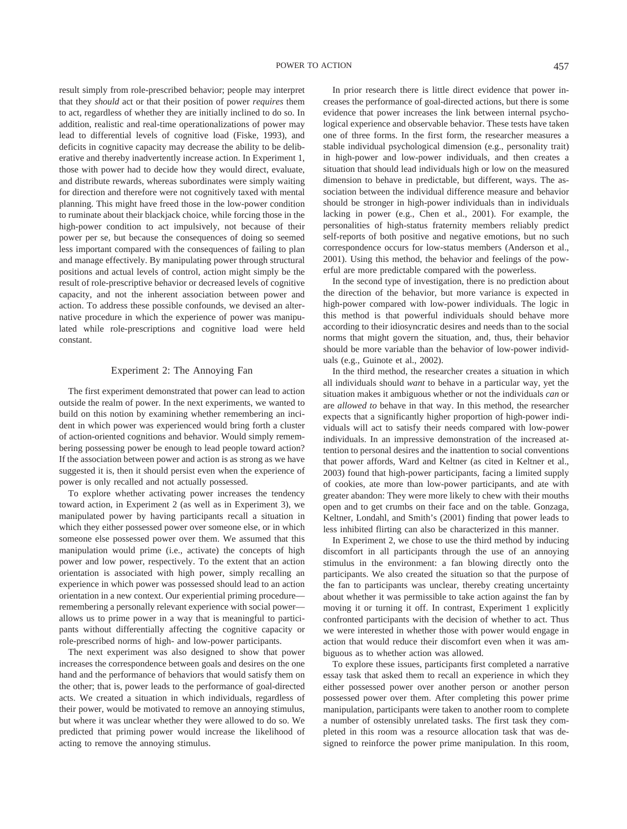result simply from role-prescribed behavior; people may interpret that they *should* act or that their position of power *requires* them to act, regardless of whether they are initially inclined to do so. In addition, realistic and real-time operationalizations of power may lead to differential levels of cognitive load (Fiske, 1993), and deficits in cognitive capacity may decrease the ability to be deliberative and thereby inadvertently increase action. In Experiment 1, those with power had to decide how they would direct, evaluate, and distribute rewards, whereas subordinates were simply waiting for direction and therefore were not cognitively taxed with mental planning. This might have freed those in the low-power condition to ruminate about their blackjack choice, while forcing those in the high-power condition to act impulsively, not because of their power per se, but because the consequences of doing so seemed less important compared with the consequences of failing to plan and manage effectively. By manipulating power through structural positions and actual levels of control, action might simply be the result of role-prescriptive behavior or decreased levels of cognitive capacity, and not the inherent association between power and action. To address these possible confounds, we devised an alternative procedure in which the experience of power was manipulated while role-prescriptions and cognitive load were held constant.

### Experiment 2: The Annoying Fan

The first experiment demonstrated that power can lead to action outside the realm of power. In the next experiments, we wanted to build on this notion by examining whether remembering an incident in which power was experienced would bring forth a cluster of action-oriented cognitions and behavior. Would simply remembering possessing power be enough to lead people toward action? If the association between power and action is as strong as we have suggested it is, then it should persist even when the experience of power is only recalled and not actually possessed.

To explore whether activating power increases the tendency toward action, in Experiment 2 (as well as in Experiment 3), we manipulated power by having participants recall a situation in which they either possessed power over someone else, or in which someone else possessed power over them. We assumed that this manipulation would prime (i.e., activate) the concepts of high power and low power, respectively. To the extent that an action orientation is associated with high power, simply recalling an experience in which power was possessed should lead to an action orientation in a new context. Our experiential priming procedure remembering a personally relevant experience with social power allows us to prime power in a way that is meaningful to participants without differentially affecting the cognitive capacity or role-prescribed norms of high- and low-power participants.

The next experiment was also designed to show that power increases the correspondence between goals and desires on the one hand and the performance of behaviors that would satisfy them on the other; that is, power leads to the performance of goal-directed acts. We created a situation in which individuals, regardless of their power, would be motivated to remove an annoying stimulus, but where it was unclear whether they were allowed to do so. We predicted that priming power would increase the likelihood of acting to remove the annoying stimulus.

In prior research there is little direct evidence that power increases the performance of goal-directed actions, but there is some evidence that power increases the link between internal psychological experience and observable behavior. These tests have taken one of three forms. In the first form, the researcher measures a stable individual psychological dimension (e.g., personality trait) in high-power and low-power individuals, and then creates a situation that should lead individuals high or low on the measured dimension to behave in predictable, but different, ways. The association between the individual difference measure and behavior should be stronger in high-power individuals than in individuals lacking in power (e.g., Chen et al., 2001). For example, the personalities of high-status fraternity members reliably predict self-reports of both positive and negative emotions, but no such correspondence occurs for low-status members (Anderson et al., 2001). Using this method, the behavior and feelings of the powerful are more predictable compared with the powerless.

In the second type of investigation, there is no prediction about the direction of the behavior, but more variance is expected in high-power compared with low-power individuals. The logic in this method is that powerful individuals should behave more according to their idiosyncratic desires and needs than to the social norms that might govern the situation, and, thus, their behavior should be more variable than the behavior of low-power individuals (e.g., Guinote et al., 2002).

In the third method, the researcher creates a situation in which all individuals should *want* to behave in a particular way, yet the situation makes it ambiguous whether or not the individuals *can* or are *allowed to* behave in that way. In this method, the researcher expects that a significantly higher proportion of high-power individuals will act to satisfy their needs compared with low-power individuals. In an impressive demonstration of the increased attention to personal desires and the inattention to social conventions that power affords, Ward and Keltner (as cited in Keltner et al., 2003) found that high-power participants, facing a limited supply of cookies, ate more than low-power participants, and ate with greater abandon: They were more likely to chew with their mouths open and to get crumbs on their face and on the table. Gonzaga, Keltner, Londahl, and Smith's (2001) finding that power leads to less inhibited flirting can also be characterized in this manner.

In Experiment 2, we chose to use the third method by inducing discomfort in all participants through the use of an annoying stimulus in the environment: a fan blowing directly onto the participants. We also created the situation so that the purpose of the fan to participants was unclear, thereby creating uncertainty about whether it was permissible to take action against the fan by moving it or turning it off. In contrast, Experiment 1 explicitly confronted participants with the decision of whether to act. Thus we were interested in whether those with power would engage in action that would reduce their discomfort even when it was ambiguous as to whether action was allowed.

To explore these issues, participants first completed a narrative essay task that asked them to recall an experience in which they either possessed power over another person or another person possessed power over them. After completing this power prime manipulation, participants were taken to another room to complete a number of ostensibly unrelated tasks. The first task they completed in this room was a resource allocation task that was designed to reinforce the power prime manipulation. In this room,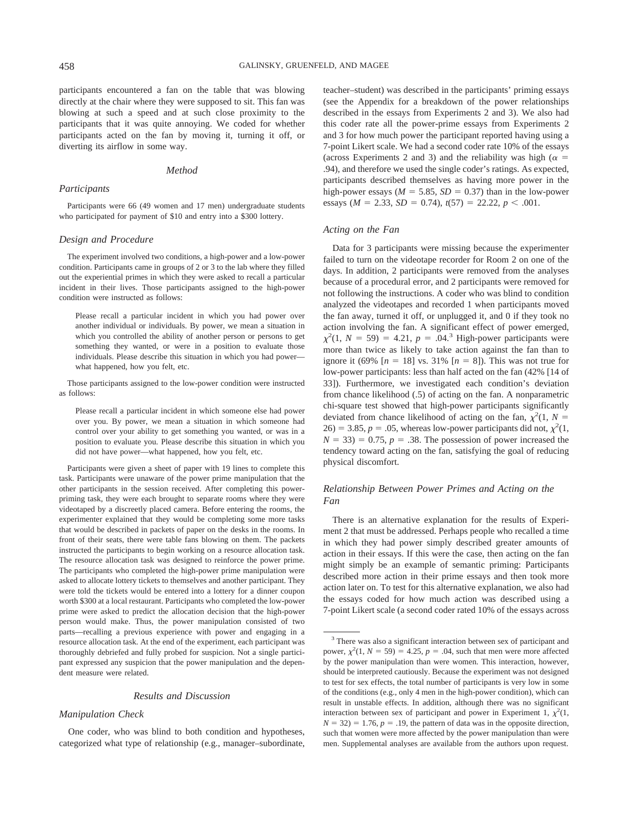participants encountered a fan on the table that was blowing directly at the chair where they were supposed to sit. This fan was blowing at such a speed and at such close proximity to the participants that it was quite annoying. We coded for whether participants acted on the fan by moving it, turning it off, or diverting its airflow in some way.

#### *Method*

### *Participants*

Participants were 66 (49 women and 17 men) undergraduate students who participated for payment of \$10 and entry into a \$300 lottery.

### *Design and Procedure*

The experiment involved two conditions, a high-power and a low-power condition. Participants came in groups of 2 or 3 to the lab where they filled out the experiential primes in which they were asked to recall a particular incident in their lives. Those participants assigned to the high-power condition were instructed as follows:

Please recall a particular incident in which you had power over another individual or individuals. By power, we mean a situation in which you controlled the ability of another person or persons to get something they wanted, or were in a position to evaluate those individuals. Please describe this situation in which you had power what happened, how you felt, etc.

Those participants assigned to the low-power condition were instructed as follows:

Please recall a particular incident in which someone else had power over you. By power, we mean a situation in which someone had control over your ability to get something you wanted, or was in a position to evaluate you. Please describe this situation in which you did not have power—what happened, how you felt, etc.

Participants were given a sheet of paper with 19 lines to complete this task. Participants were unaware of the power prime manipulation that the other participants in the session received. After completing this powerpriming task, they were each brought to separate rooms where they were videotaped by a discreetly placed camera. Before entering the rooms, the experimenter explained that they would be completing some more tasks that would be described in packets of paper on the desks in the rooms. In front of their seats, there were table fans blowing on them. The packets instructed the participants to begin working on a resource allocation task. The resource allocation task was designed to reinforce the power prime. The participants who completed the high-power prime manipulation were asked to allocate lottery tickets to themselves and another participant. They were told the tickets would be entered into a lottery for a dinner coupon worth \$300 at a local restaurant. Participants who completed the low-power prime were asked to predict the allocation decision that the high-power person would make. Thus, the power manipulation consisted of two parts—recalling a previous experience with power and engaging in a resource allocation task. At the end of the experiment, each participant was thoroughly debriefed and fully probed for suspicion. Not a single participant expressed any suspicion that the power manipulation and the dependent measure were related.

### *Results and Discussion*

### *Manipulation Check*

One coder, who was blind to both condition and hypotheses, categorized what type of relationship (e.g., manager–subordinate,

teacher–student) was described in the participants' priming essays (see the Appendix for a breakdown of the power relationships described in the essays from Experiments 2 and 3). We also had this coder rate all the power-prime essays from Experiments 2 and 3 for how much power the participant reported having using a 7-point Likert scale. We had a second coder rate 10% of the essays (across Experiments 2 and 3) and the reliability was high ( $\alpha$  = .94), and therefore we used the single coder's ratings. As expected, participants described themselves as having more power in the high-power essays ( $M = 5.85$ ,  $SD = 0.37$ ) than in the low-power essays ( $M = 2.33$ ,  $SD = 0.74$ ),  $t(57) = 22.22$ ,  $p < .001$ .

#### *Acting on the Fan*

Data for 3 participants were missing because the experimenter failed to turn on the videotape recorder for Room 2 on one of the days. In addition, 2 participants were removed from the analyses because of a procedural error, and 2 participants were removed for not following the instructions. A coder who was blind to condition analyzed the videotapes and recorded 1 when participants moved the fan away, turned it off, or unplugged it, and 0 if they took no action involving the fan. A significant effect of power emerged,  $\chi^2(1, N = 59) = 4.21$ ,  $p = .04$ <sup>3</sup> High-power participants were more than twice as likely to take action against the fan than to ignore it (69%  $[n = 18]$  vs. 31%  $[n = 8]$ ). This was not true for low-power participants: less than half acted on the fan (42% [14 of 33]). Furthermore, we investigated each condition's deviation from chance likelihood (.5) of acting on the fan. A nonparametric chi-square test showed that high-power participants significantly deviated from chance likelihood of acting on the fan,  $\chi^2(1, N =$  $26$ ) = 3.85, *p* = .05, whereas low-power participants did not,  $\chi^2(1, \chi^2(1))$  $N = 33$ ) = 0.75,  $p = .38$ . The possession of power increased the tendency toward acting on the fan, satisfying the goal of reducing physical discomfort.

### *Relationship Between Power Primes and Acting on the Fan*

There is an alternative explanation for the results of Experiment 2 that must be addressed. Perhaps people who recalled a time in which they had power simply described greater amounts of action in their essays. If this were the case, then acting on the fan might simply be an example of semantic priming: Participants described more action in their prime essays and then took more action later on. To test for this alternative explanation, we also had the essays coded for how much action was described using a 7-point Likert scale (a second coder rated 10% of the essays across

<sup>3</sup> There was also a significant interaction between sex of participant and power,  $\chi^2(1, N = 59) = 4.25$ ,  $p = .04$ , such that men were more affected by the power manipulation than were women. This interaction, however, should be interpreted cautiously. Because the experiment was not designed to test for sex effects, the total number of participants is very low in some of the conditions (e.g., only 4 men in the high-power condition), which can result in unstable effects. In addition, although there was no significant interaction between sex of participant and power in Experiment 1,  $\chi^2(1, 1)$  $N = 32$ ) = 1.76,  $p = .19$ , the pattern of data was in the opposite direction, such that women were more affected by the power manipulation than were men. Supplemental analyses are available from the authors upon request.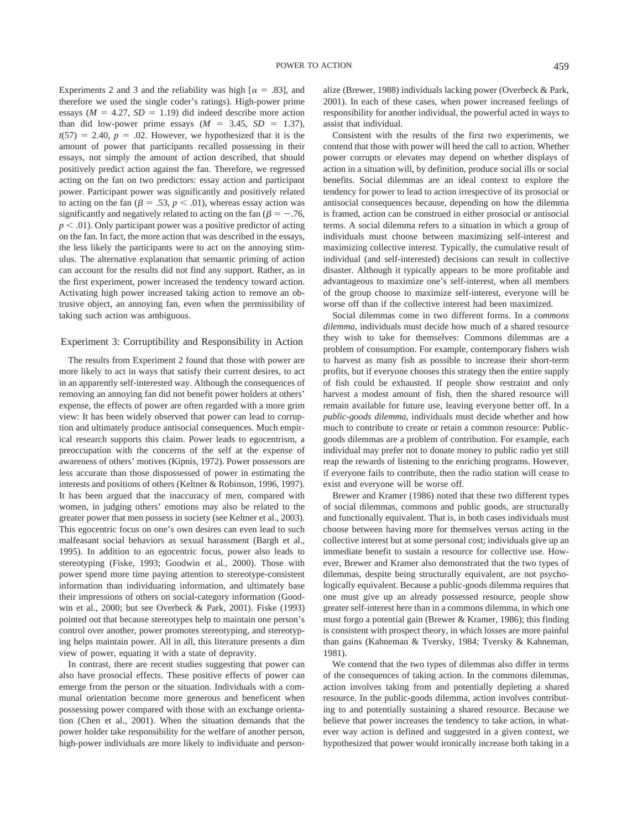Experiments 2 and 3 and the reliability was high  $\alpha = .83$ , and therefore we used the single coder's ratings). High-power prime essays ( $M = 4.27$ ,  $SD = 1.19$ ) did indeed describe more action than did low-power prime essays  $(M = 3.45, SD = 1.37)$ ,  $t(57) = 2.40$ ,  $p = .02$ . However, we hypothesized that it is the amount of power that participants recalled possessing in their essays, not simply the amount of action described, that should positively predict action against the fan. Therefore, we regressed acting on the fan on two predictors: essay action and participant power. Participant power was significantly and positively related to acting on the fan ( $\beta = .53$ ,  $p < .01$ ), whereas essay action was significantly and negatively related to acting on the fan ( $\beta = -.76$ ,  $p < .01$ ). Only participant power was a positive predictor of acting on the fan. In fact, the more action that was described in the essays, the less likely the participants were to act on the annoying stimulus. The alternative explanation that semantic priming of action can account for the results did not find any support. Rather, as in the first experiment, power increased the tendency toward action. Activating high power increased taking action to remove an obtrusive object, an annoying fan, even when the permissibility of taking such action was ambiguous.

### Experiment 3: Corruptibility and Responsibility in Action

The results from Experiment 2 found that those with power are more likely to act in ways that satisfy their current desires, to act in an apparently self-interested way. Although the consequences of removing an annoying fan did not benefit power holders at others' expense, the effects of power are often regarded with a more grim view: It has been widely observed that power can lead to corruption and ultimately produce antisocial consequences. Much empirical research supports this claim. Power leads to egocentrism, a preoccupation with the concerns of the self at the expense of awareness of others' motives (Kipnis, 1972). Power possessors are less accurate than those dispossessed of power in estimating the interests and positions of others (Keltner & Robinson, 1996, 1997). It has been argued that the inaccuracy of men, compared with women, in judging others' emotions may also be related to the greater power that men possess in society (see Keltner et al., 2003). This egocentric focus on one's own desires can even lead to such malfeasant social behaviors as sexual harassment (Bargh et al., 1995). In addition to an egocentric focus, power also leads to stereotyping (Fiske, 1993; Goodwin et al., 2000). Those with power spend more time paying attention to stereotype-consistent information than individuating information, and ultimately base their impressions of others on social-category information (Goodwin et al., 2000; but see Overbeck & Park, 2001). Fiske (1993) pointed out that because stereotypes help to maintain one person's control over another, power promotes stereotyping, and stereotyping helps maintain power. All in all, this literature presents a dim view of power, equating it with a state of depravity.

In contrast, there are recent studies suggesting that power can also have prosocial effects. These positive effects of power can emerge from the person or the situation. Individuals with a communal orientation become more generous and beneficent when possessing power compared with those with an exchange orientation (Chen et al., 2001). When the situation demands that the power holder take responsibility for the welfare of another person, high-power individuals are more likely to individuate and personalize (Brewer, 1988) individuals lacking power (Overbeck & Park, 2001). In each of these cases, when power increased feelings of responsibility for another individual, the powerful acted in ways to assist that individual.

Consistent with the results of the first two experiments, we contend that those with power will heed the call to action. Whether power corrupts or elevates may depend on whether displays of action in a situation will, by definition, produce social ills or social benefits. Social dilemmas are an ideal context to explore the tendency for power to lead to action irrespective of its prosocial or antisocial consequences because, depending on how the dilemma is framed, action can be construed in either prosocial or antisocial terms. A social dilemma refers to a situation in which a group of individuals must choose between maximizing self-interest and maximizing collective interest. Typically, the cumulative result of individual (and self-interested) decisions can result in collective disaster. Although it typically appears to be more profitable and advantageous to maximize one's self-interest, when all members of the group choose to maximize self-interest, everyone will be worse off than if the collective interest had been maximized.

Social dilemmas come in two different forms. In a *commons dilemma*, individuals must decide how much of a shared resource they wish to take for themselves: Commons dilemmas are a problem of consumption. For example, contemporary fishers wish to harvest as many fish as possible to increase their short-term profits, but if everyone chooses this strategy then the entire supply of fish could be exhausted. If people show restraint and only harvest a modest amount of fish, then the shared resource will remain available for future use, leaving everyone better off. In a *public-goods dilemma*, individuals must decide whether and how much to contribute to create or retain a common resource: Publicgoods dilemmas are a problem of contribution. For example, each individual may prefer not to donate money to public radio yet still reap the rewards of listening to the enriching programs. However, if everyone fails to contribute, then the radio station will cease to exist and everyone will be worse off.

Brewer and Kramer (1986) noted that these two different types of social dilemmas, commons and public goods, are structurally and functionally equivalent. That is, in both cases individuals must choose between having more for themselves versus acting in the collective interest but at some personal cost; individuals give up an immediate benefit to sustain a resource for collective use. However, Brewer and Kramer also demonstrated that the two types of dilemmas, despite being structurally equivalent, are not psychologically equivalent. Because a public-goods dilemma requires that one must give up an already possessed resource, people show greater self-interest here than in a commons dilemma, in which one must forgo a potential gain (Brewer & Kramer, 1986); this finding is consistent with prospect theory, in which losses are more painful than gains (Kahneman & Tversky, 1984; Tversky & Kahneman, 1981).

We contend that the two types of dilemmas also differ in terms of the consequences of taking action. In the commons dilemmas, action involves taking from and potentially depleting a shared resource. In the public-goods dilemma, action involves contributing to and potentially sustaining a shared resource. Because we believe that power increases the tendency to take action, in whatever way action is defined and suggested in a given context, we hypothesized that power would ironically increase both taking in a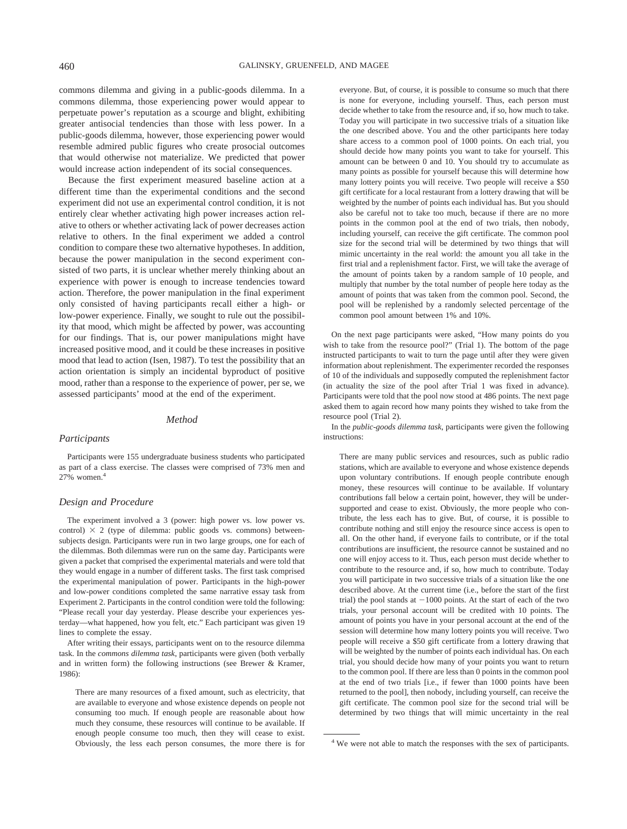commons dilemma and giving in a public-goods dilemma. In a commons dilemma, those experiencing power would appear to perpetuate power's reputation as a scourge and blight, exhibiting greater antisocial tendencies than those with less power. In a public-goods dilemma, however, those experiencing power would resemble admired public figures who create prosocial outcomes that would otherwise not materialize. We predicted that power would increase action independent of its social consequences.

Because the first experiment measured baseline action at a different time than the experimental conditions and the second experiment did not use an experimental control condition, it is not entirely clear whether activating high power increases action relative to others or whether activating lack of power decreases action relative to others. In the final experiment we added a control condition to compare these two alternative hypotheses. In addition, because the power manipulation in the second experiment consisted of two parts, it is unclear whether merely thinking about an experience with power is enough to increase tendencies toward action. Therefore, the power manipulation in the final experiment only consisted of having participants recall either a high- or low-power experience. Finally, we sought to rule out the possibility that mood, which might be affected by power, was accounting for our findings. That is, our power manipulations might have increased positive mood, and it could be these increases in positive mood that lead to action (Isen, 1987). To test the possibility that an action orientation is simply an incidental byproduct of positive mood, rather than a response to the experience of power, per se, we assessed participants' mood at the end of the experiment.

#### *Method*

### *Participants*

Participants were 155 undergraduate business students who participated as part of a class exercise. The classes were comprised of 73% men and  $27\%$  women<sup>4</sup>

### *Design and Procedure*

The experiment involved a 3 (power: high power vs. low power vs. control)  $\times$  2 (type of dilemma: public goods vs. commons) betweensubjects design. Participants were run in two large groups, one for each of the dilemmas. Both dilemmas were run on the same day. Participants were given a packet that comprised the experimental materials and were told that they would engage in a number of different tasks. The first task comprised the experimental manipulation of power. Participants in the high-power and low-power conditions completed the same narrative essay task from Experiment 2. Participants in the control condition were told the following: "Please recall your day yesterday. Please describe your experiences yesterday—what happened, how you felt, etc." Each participant was given 19 lines to complete the essay.

After writing their essays, participants went on to the resource dilemma task. In the *commons dilemma task*, participants were given (both verbally and in written form) the following instructions (see Brewer & Kramer, 1986):

There are many resources of a fixed amount, such as electricity, that are available to everyone and whose existence depends on people not consuming too much. If enough people are reasonable about how much they consume, these resources will continue to be available. If enough people consume too much, then they will cease to exist. Obviously, the less each person consumes, the more there is for

everyone. But, of course, it is possible to consume so much that there is none for everyone, including yourself. Thus, each person must decide whether to take from the resource and, if so, how much to take. Today you will participate in two successive trials of a situation like the one described above. You and the other participants here today share access to a common pool of 1000 points. On each trial, you should decide how many points you want to take for yourself. This amount can be between 0 and 10. You should try to accumulate as many points as possible for yourself because this will determine how many lottery points you will receive. Two people will receive a \$50 gift certificate for a local restaurant from a lottery drawing that will be weighted by the number of points each individual has. But you should also be careful not to take too much, because if there are no more points in the common pool at the end of two trials, then nobody, including yourself, can receive the gift certificate. The common pool size for the second trial will be determined by two things that will mimic uncertainty in the real world: the amount you all take in the first trial and a replenishment factor. First, we will take the average of the amount of points taken by a random sample of 10 people, and multiply that number by the total number of people here today as the amount of points that was taken from the common pool. Second, the pool will be replenished by a randomly selected percentage of the common pool amount between 1% and 10%.

On the next page participants were asked, "How many points do you wish to take from the resource pool?" (Trial 1). The bottom of the page instructed participants to wait to turn the page until after they were given information about replenishment. The experimenter recorded the responses of 10 of the individuals and supposedly computed the replenishment factor (in actuality the size of the pool after Trial 1 was fixed in advance). Participants were told that the pool now stood at 486 points. The next page asked them to again record how many points they wished to take from the resource pool (Trial 2).

In the *public-goods dilemma task*, participants were given the following instructions:

There are many public services and resources, such as public radio stations, which are available to everyone and whose existence depends upon voluntary contributions. If enough people contribute enough money, these resources will continue to be available. If voluntary contributions fall below a certain point, however, they will be undersupported and cease to exist. Obviously, the more people who contribute, the less each has to give. But, of course, it is possible to contribute nothing and still enjoy the resource since access is open to all. On the other hand, if everyone fails to contribute, or if the total contributions are insufficient, the resource cannot be sustained and no one will enjoy access to it. Thus, each person must decide whether to contribute to the resource and, if so, how much to contribute. Today you will participate in two successive trials of a situation like the one described above. At the current time (i.e., before the start of the first trial) the pool stands at  $-1000$  points. At the start of each of the two trials, your personal account will be credited with 10 points. The amount of points you have in your personal account at the end of the session will determine how many lottery points you will receive. Two people will receive a \$50 gift certificate from a lottery drawing that will be weighted by the number of points each individual has. On each trial, you should decide how many of your points you want to return to the common pool. If there are less than 0 points in the common pool at the end of two trials [i.e., if fewer than 1000 points have been returned to the pool], then nobody, including yourself, can receive the gift certificate. The common pool size for the second trial will be determined by two things that will mimic uncertainty in the real

<sup>&</sup>lt;sup>4</sup> We were not able to match the responses with the sex of participants.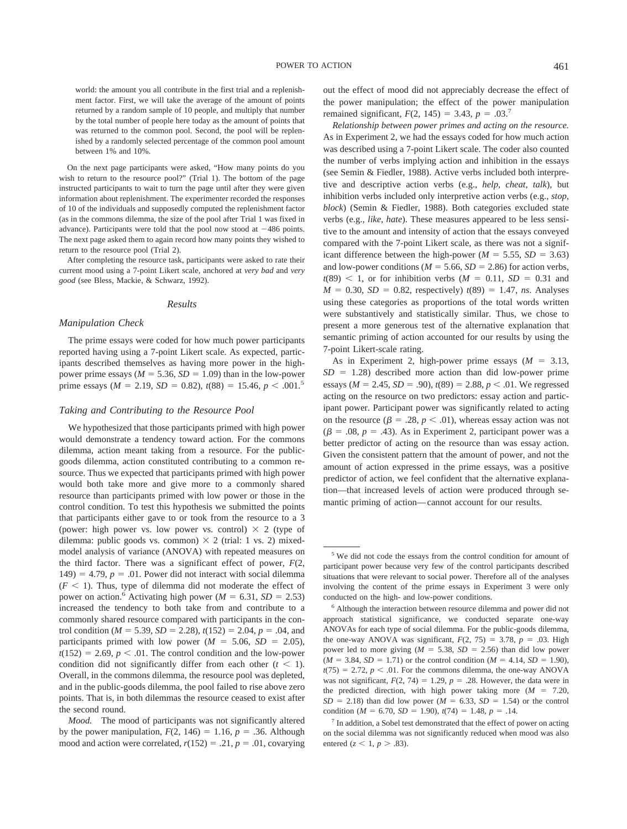world: the amount you all contribute in the first trial and a replenishment factor. First, we will take the average of the amount of points returned by a random sample of 10 people, and multiply that number by the total number of people here today as the amount of points that was returned to the common pool. Second, the pool will be replenished by a randomly selected percentage of the common pool amount between 1% and 10%.

On the next page participants were asked, "How many points do you wish to return to the resource pool?" (Trial 1). The bottom of the page instructed participants to wait to turn the page until after they were given information about replenishment. The experimenter recorded the responses of 10 of the individuals and supposedly computed the replenishment factor (as in the commons dilemma, the size of the pool after Trial 1 was fixed in advance). Participants were told that the pool now stood at  $-486$  points. The next page asked them to again record how many points they wished to return to the resource pool (Trial 2).

After completing the resource task, participants were asked to rate their current mood using a 7-point Likert scale, anchored at *very bad* and *very good* (see Bless, Mackie, & Schwarz, 1992).

#### *Results*

### *Manipulation Check*

The prime essays were coded for how much power participants reported having using a 7-point Likert scale. As expected, participants described themselves as having more power in the highpower prime essays ( $M = 5.36$ ,  $SD = 1.09$ ) than in the low-power prime essays ( $M = 2.19$ ,  $SD = 0.82$ ),  $t(88) = 15.46$ ,  $p < .001$ .<sup>5</sup>

#### *Taking and Contributing to the Resource Pool*

We hypothesized that those participants primed with high power would demonstrate a tendency toward action. For the commons dilemma, action meant taking from a resource. For the publicgoods dilemma, action constituted contributing to a common resource. Thus we expected that participants primed with high power would both take more and give more to a commonly shared resource than participants primed with low power or those in the control condition. To test this hypothesis we submitted the points that participants either gave to or took from the resource to a 3 (power: high power vs. low power vs. control)  $\times$  2 (type of dilemma: public goods vs. common)  $\times$  2 (trial: 1 vs. 2) mixedmodel analysis of variance (ANOVA) with repeated measures on the third factor. There was a significant effect of power, *F*(2,  $149$ ) = 4.79,  $p = .01$ . Power did not interact with social dilemma  $(F < 1)$ . Thus, type of dilemma did not moderate the effect of power on action.<sup>6</sup> Activating high power ( $M = 6.31$ ,  $SD = 2.53$ ) increased the tendency to both take from and contribute to a commonly shared resource compared with participants in the control condition ( $M = 5.39$ ,  $SD = 2.28$ ),  $t(152) = 2.04$ ,  $p = .04$ , and participants primed with low power  $(M = 5.06, SD = 2.05)$ ,  $t(152) = 2.69$ ,  $p < .01$ . The control condition and the low-power condition did not significantly differ from each other  $(t < 1)$ . Overall, in the commons dilemma, the resource pool was depleted, and in the public-goods dilemma, the pool failed to rise above zero points. That is, in both dilemmas the resource ceased to exist after the second round.

*Mood.* The mood of participants was not significantly altered by the power manipulation,  $F(2, 146) = 1.16$ ,  $p = .36$ . Although mood and action were correlated,  $r(152) = .21$ ,  $p = .01$ , covarying out the effect of mood did not appreciably decrease the effect of the power manipulation; the effect of the power manipulation remained significant,  $F(2, 145) = 3.43$ ,  $p = .03$ .<sup>7</sup>

*Relationship between power primes and acting on the resource.* As in Experiment 2, we had the essays coded for how much action was described using a 7-point Likert scale. The coder also counted the number of verbs implying action and inhibition in the essays (see Semin & Fiedler, 1988). Active verbs included both interpretive and descriptive action verbs (e.g., *help*, *cheat*, *talk*), but inhibition verbs included only interpretive action verbs (e.g., *stop*, *block*) (Semin & Fiedler, 1988). Both categories excluded state verbs (e.g., *like*, *hate*). These measures appeared to be less sensitive to the amount and intensity of action that the essays conveyed compared with the 7-point Likert scale, as there was not a significant difference between the high-power ( $M = 5.55$ ,  $SD = 3.63$ ) and low-power conditions ( $M = 5.66$ ,  $SD = 2.86$ ) for action verbs,  $t(89)$  < 1, or for inhibition verbs ( $M = 0.11$ ,  $SD = 0.31$  and  $M = 0.30$ ,  $SD = 0.82$ , respectively)  $t(89) = 1.47$ , *ns*. Analyses using these categories as proportions of the total words written were substantively and statistically similar. Thus, we chose to present a more generous test of the alternative explanation that semantic priming of action accounted for our results by using the 7-point Likert-scale rating.

As in Experiment 2, high-power prime essays  $(M = 3.13,$  $SD = 1.28$ ) described more action than did low-power prime essays ( $M = 2.45$ ,  $SD = .90$ ),  $t(89) = 2.88$ ,  $p < .01$ . We regressed acting on the resource on two predictors: essay action and participant power. Participant power was significantly related to acting on the resource ( $\beta = .28$ ,  $p < .01$ ), whereas essay action was not  $(\beta = .08, p = .43)$ . As in Experiment 2, participant power was a better predictor of acting on the resource than was essay action. Given the consistent pattern that the amount of power, and not the amount of action expressed in the prime essays, was a positive predictor of action, we feel confident that the alternative explanation—that increased levels of action were produced through semantic priming of action—cannot account for our results.

<sup>5</sup> We did not code the essays from the control condition for amount of participant power because very few of the control participants described situations that were relevant to social power. Therefore all of the analyses involving the content of the prime essays in Experiment 3 were only conducted on the high- and low-power conditions.

<sup>6</sup> Although the interaction between resource dilemma and power did not approach statistical significance, we conducted separate one-way ANOVAs for each type of social dilemma. For the public-goods dilemma, the one-way ANOVA was significant,  $F(2, 75) = 3.78$ ,  $p = .03$ . High power led to more giving  $(M = 5.38, SD = 2.56)$  than did low power  $(M = 3.84, SD = 1.71)$  or the control condition  $(M = 4.14, SD = 1.90)$ ,  $t(75) = 2.72$ ,  $p < .01$ . For the commons dilemma, the one-way ANOVA was not significant,  $F(2, 74) = 1.29$ ,  $p = .28$ . However, the data were in the predicted direction, with high power taking more  $(M = 7.20)$ ,  $SD = 2.18$ ) than did low power ( $M = 6.33$ ,  $SD = 1.54$ ) or the control condition ( $M = 6.70$ ,  $SD = 1.90$ ),  $t(74) = 1.48$ ,  $p = .14$ .

 $<sup>7</sup>$  In addition, a Sobel test demonstrated that the effect of power on acting</sup> on the social dilemma was not significantly reduced when mood was also entered  $(z < 1, p > .83)$ .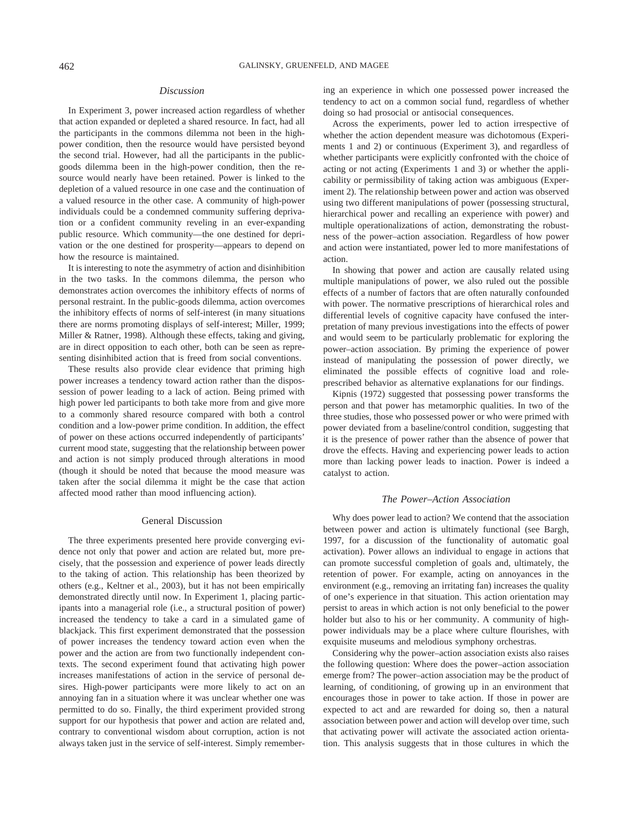#### *Discussion*

In Experiment 3, power increased action regardless of whether that action expanded or depleted a shared resource. In fact, had all the participants in the commons dilemma not been in the highpower condition, then the resource would have persisted beyond the second trial. However, had all the participants in the publicgoods dilemma been in the high-power condition, then the resource would nearly have been retained. Power is linked to the depletion of a valued resource in one case and the continuation of a valued resource in the other case. A community of high-power individuals could be a condemned community suffering deprivation or a confident community reveling in an ever-expanding public resource. Which community—the one destined for deprivation or the one destined for prosperity—appears to depend on how the resource is maintained.

It is interesting to note the asymmetry of action and disinhibition in the two tasks. In the commons dilemma, the person who demonstrates action overcomes the inhibitory effects of norms of personal restraint. In the public-goods dilemma, action overcomes the inhibitory effects of norms of self-interest (in many situations there are norms promoting displays of self-interest; Miller, 1999; Miller & Ratner, 1998). Although these effects, taking and giving, are in direct opposition to each other, both can be seen as representing disinhibited action that is freed from social conventions.

These results also provide clear evidence that priming high power increases a tendency toward action rather than the dispossession of power leading to a lack of action. Being primed with high power led participants to both take more from and give more to a commonly shared resource compared with both a control condition and a low-power prime condition. In addition, the effect of power on these actions occurred independently of participants' current mood state, suggesting that the relationship between power and action is not simply produced through alterations in mood (though it should be noted that because the mood measure was taken after the social dilemma it might be the case that action affected mood rather than mood influencing action).

### General Discussion

The three experiments presented here provide converging evidence not only that power and action are related but, more precisely, that the possession and experience of power leads directly to the taking of action. This relationship has been theorized by others (e.g., Keltner et al., 2003), but it has not been empirically demonstrated directly until now. In Experiment 1, placing participants into a managerial role (i.e., a structural position of power) increased the tendency to take a card in a simulated game of blackjack. This first experiment demonstrated that the possession of power increases the tendency toward action even when the power and the action are from two functionally independent contexts. The second experiment found that activating high power increases manifestations of action in the service of personal desires. High-power participants were more likely to act on an annoying fan in a situation where it was unclear whether one was permitted to do so. Finally, the third experiment provided strong support for our hypothesis that power and action are related and, contrary to conventional wisdom about corruption, action is not always taken just in the service of self-interest. Simply remembering an experience in which one possessed power increased the tendency to act on a common social fund, regardless of whether doing so had prosocial or antisocial consequences.

Across the experiments, power led to action irrespective of whether the action dependent measure was dichotomous (Experiments 1 and 2) or continuous (Experiment 3), and regardless of whether participants were explicitly confronted with the choice of acting or not acting (Experiments 1 and 3) or whether the applicability or permissibility of taking action was ambiguous (Experiment 2). The relationship between power and action was observed using two different manipulations of power (possessing structural, hierarchical power and recalling an experience with power) and multiple operationalizations of action, demonstrating the robustness of the power–action association. Regardless of how power and action were instantiated, power led to more manifestations of action.

In showing that power and action are causally related using multiple manipulations of power, we also ruled out the possible effects of a number of factors that are often naturally confounded with power. The normative prescriptions of hierarchical roles and differential levels of cognitive capacity have confused the interpretation of many previous investigations into the effects of power and would seem to be particularly problematic for exploring the power–action association. By priming the experience of power instead of manipulating the possession of power directly, we eliminated the possible effects of cognitive load and roleprescribed behavior as alternative explanations for our findings.

Kipnis (1972) suggested that possessing power transforms the person and that power has metamorphic qualities. In two of the three studies, those who possessed power or who were primed with power deviated from a baseline/control condition, suggesting that it is the presence of power rather than the absence of power that drove the effects. Having and experiencing power leads to action more than lacking power leads to inaction. Power is indeed a catalyst to action.

### *The Power–Action Association*

Why does power lead to action? We contend that the association between power and action is ultimately functional (see Bargh, 1997, for a discussion of the functionality of automatic goal activation). Power allows an individual to engage in actions that can promote successful completion of goals and, ultimately, the retention of power. For example, acting on annoyances in the environment (e.g., removing an irritating fan) increases the quality of one's experience in that situation. This action orientation may persist to areas in which action is not only beneficial to the power holder but also to his or her community. A community of highpower individuals may be a place where culture flourishes, with exquisite museums and melodious symphony orchestras.

Considering why the power–action association exists also raises the following question: Where does the power–action association emerge from? The power–action association may be the product of learning, of conditioning, of growing up in an environment that encourages those in power to take action. If those in power are expected to act and are rewarded for doing so, then a natural association between power and action will develop over time, such that activating power will activate the associated action orientation. This analysis suggests that in those cultures in which the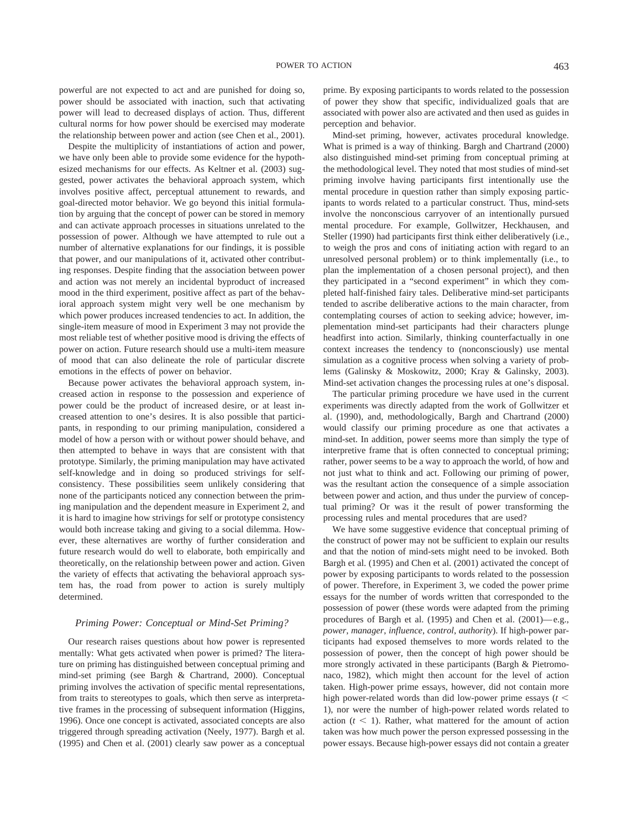powerful are not expected to act and are punished for doing so, power should be associated with inaction, such that activating power will lead to decreased displays of action. Thus, different cultural norms for how power should be exercised may moderate the relationship between power and action (see Chen et al., 2001).

Despite the multiplicity of instantiations of action and power, we have only been able to provide some evidence for the hypothesized mechanisms for our effects. As Keltner et al. (2003) suggested, power activates the behavioral approach system, which involves positive affect, perceptual attunement to rewards, and goal-directed motor behavior. We go beyond this initial formulation by arguing that the concept of power can be stored in memory and can activate approach processes in situations unrelated to the possession of power. Although we have attempted to rule out a number of alternative explanations for our findings, it is possible that power, and our manipulations of it, activated other contributing responses. Despite finding that the association between power and action was not merely an incidental byproduct of increased mood in the third experiment, positive affect as part of the behavioral approach system might very well be one mechanism by which power produces increased tendencies to act. In addition, the single-item measure of mood in Experiment 3 may not provide the most reliable test of whether positive mood is driving the effects of power on action. Future research should use a multi-item measure of mood that can also delineate the role of particular discrete emotions in the effects of power on behavior.

Because power activates the behavioral approach system, increased action in response to the possession and experience of power could be the product of increased desire, or at least increased attention to one's desires. It is also possible that participants, in responding to our priming manipulation, considered a model of how a person with or without power should behave, and then attempted to behave in ways that are consistent with that prototype. Similarly, the priming manipulation may have activated self-knowledge and in doing so produced strivings for selfconsistency. These possibilities seem unlikely considering that none of the participants noticed any connection between the priming manipulation and the dependent measure in Experiment 2, and it is hard to imagine how strivings for self or prototype consistency would both increase taking and giving to a social dilemma. However, these alternatives are worthy of further consideration and future research would do well to elaborate, both empirically and theoretically, on the relationship between power and action. Given the variety of effects that activating the behavioral approach system has, the road from power to action is surely multiply determined.

### *Priming Power: Conceptual or Mind-Set Priming?*

Our research raises questions about how power is represented mentally: What gets activated when power is primed? The literature on priming has distinguished between conceptual priming and mind-set priming (see Bargh & Chartrand, 2000). Conceptual priming involves the activation of specific mental representations, from traits to stereotypes to goals, which then serve as interpretative frames in the processing of subsequent information (Higgins, 1996). Once one concept is activated, associated concepts are also triggered through spreading activation (Neely, 1977). Bargh et al. (1995) and Chen et al. (2001) clearly saw power as a conceptual prime. By exposing participants to words related to the possession of power they show that specific, individualized goals that are associated with power also are activated and then used as guides in perception and behavior.

Mind-set priming, however, activates procedural knowledge. What is primed is a way of thinking. Bargh and Chartrand (2000) also distinguished mind-set priming from conceptual priming at the methodological level. They noted that most studies of mind-set priming involve having participants first intentionally use the mental procedure in question rather than simply exposing participants to words related to a particular construct. Thus, mind-sets involve the nonconscious carryover of an intentionally pursued mental procedure. For example, Gollwitzer, Heckhausen, and Steller (1990) had participants first think either deliberatively (i.e., to weigh the pros and cons of initiating action with regard to an unresolved personal problem) or to think implementally (i.e., to plan the implementation of a chosen personal project), and then they participated in a "second experiment" in which they completed half-finished fairy tales. Deliberative mind-set participants tended to ascribe deliberative actions to the main character, from contemplating courses of action to seeking advice; however, implementation mind-set participants had their characters plunge headfirst into action. Similarly, thinking counterfactually in one context increases the tendency to (nonconsciously) use mental simulation as a cognitive process when solving a variety of problems (Galinsky & Moskowitz, 2000; Kray & Galinsky, 2003). Mind-set activation changes the processing rules at one's disposal.

The particular priming procedure we have used in the current experiments was directly adapted from the work of Gollwitzer et al. (1990), and, methodologically, Bargh and Chartrand (2000) would classify our priming procedure as one that activates a mind-set. In addition, power seems more than simply the type of interpretive frame that is often connected to conceptual priming; rather, power seems to be a way to approach the world, of how and not just what to think and act. Following our priming of power, was the resultant action the consequence of a simple association between power and action, and thus under the purview of conceptual priming? Or was it the result of power transforming the processing rules and mental procedures that are used?

We have some suggestive evidence that conceptual priming of the construct of power may not be sufficient to explain our results and that the notion of mind-sets might need to be invoked. Both Bargh et al. (1995) and Chen et al. (2001) activated the concept of power by exposing participants to words related to the possession of power. Therefore, in Experiment 3, we coded the power prime essays for the number of words written that corresponded to the possession of power (these words were adapted from the priming procedures of Bargh et al. (1995) and Chen et al. (2001)—e.g., *power*, *manager*, *influence*, *control*, *authority*). If high-power participants had exposed themselves to more words related to the possession of power, then the concept of high power should be more strongly activated in these participants (Bargh & Pietromonaco, 1982), which might then account for the level of action taken. High-power prime essays, however, did not contain more high power-related words than did low-power prime essays  $(t <$ 1), nor were the number of high-power related words related to action  $(t < 1)$ . Rather, what mattered for the amount of action taken was how much power the person expressed possessing in the power essays. Because high-power essays did not contain a greater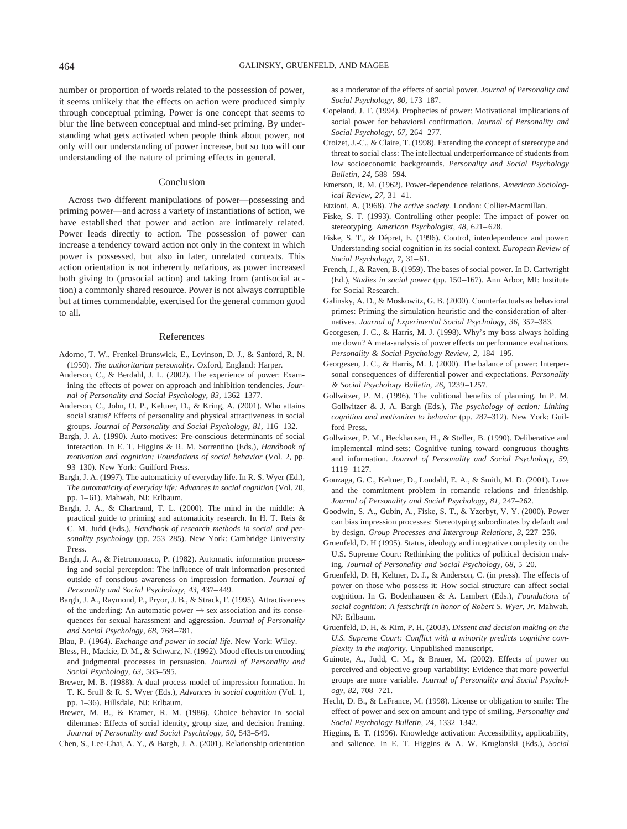number or proportion of words related to the possession of power, it seems unlikely that the effects on action were produced simply through conceptual priming. Power is one concept that seems to blur the line between conceptual and mind-set priming. By understanding what gets activated when people think about power, not only will our understanding of power increase, but so too will our understanding of the nature of priming effects in general.

### Conclusion

Across two different manipulations of power—possessing and priming power—and across a variety of instantiations of action, we have established that power and action are intimately related. Power leads directly to action. The possession of power can increase a tendency toward action not only in the context in which power is possessed, but also in later, unrelated contexts. This action orientation is not inherently nefarious, as power increased both giving to (prosocial action) and taking from (antisocial action) a commonly shared resource. Power is not always corruptible but at times commendable, exercised for the general common good to all.

#### References

- Adorno, T. W., Frenkel-Brunswick, E., Levinson, D. J., & Sanford, R. N. (1950). *The authoritarian personality.* Oxford, England: Harper.
- Anderson, C., & Berdahl, J. L. (2002). The experience of power: Examining the effects of power on approach and inhibition tendencies. *Journal of Personality and Social Psychology, 83,* 1362–1377.
- Anderson, C., John, O. P., Keltner, D., & Kring, A. (2001). Who attains social status? Effects of personality and physical attractiveness in social groups. *Journal of Personality and Social Psychology, 81,* 116–132.
- Bargh, J. A. (1990). Auto-motives: Pre-conscious determinants of social interaction. In E. T. Higgins & R. M. Sorrentino (Eds.), *Handbook of motivation and cognition: Foundations of social behavior* (Vol. 2, pp. 93–130). New York: Guilford Press.
- Bargh, J. A. (1997). The automaticity of everyday life. In R. S. Wyer (Ed.), *The automaticity of everyday life: Advances in social cognition* (Vol. 20, pp. 1–61). Mahwah, NJ: Erlbaum.
- Bargh, J. A., & Chartrand, T. L. (2000). The mind in the middle: A practical guide to priming and automaticity research. In H. T. Reis & C. M. Judd (Eds.), *Handbook of research methods in social and personality psychology* (pp. 253–285). New York: Cambridge University Press.
- Bargh, J. A., & Pietromonaco, P. (1982). Automatic information processing and social perception: The influence of trait information presented outside of conscious awareness on impression formation. *Journal of Personality and Social Psychology, 43,* 437–449.
- Bargh, J. A., Raymond, P., Pryor, J. B., & Strack, F. (1995). Attractiveness of the underling: An automatic power  $\rightarrow$  sex association and its consequences for sexual harassment and aggression. *Journal of Personality and Social Psychology, 68,* 768–781.
- Blau, P. (1964). *Exchange and power in social life.* New York: Wiley.
- Bless, H., Mackie, D. M., & Schwarz, N. (1992). Mood effects on encoding and judgmental processes in persuasion. *Journal of Personality and Social Psychology, 63,* 585–595.
- Brewer, M. B. (1988). A dual process model of impression formation. In T. K. Srull & R. S. Wyer (Eds.), *Advances in social cognition* (Vol. 1, pp. 1–36). Hillsdale, NJ: Erlbaum.
- Brewer, M. B., & Kramer, R. M. (1986). Choice behavior in social dilemmas: Effects of social identity, group size, and decision framing. *Journal of Personality and Social Psychology, 50,* 543–549.

Chen, S., Lee-Chai, A. Y., & Bargh, J. A. (2001). Relationship orientation

as a moderator of the effects of social power. *Journal of Personality and Social Psychology, 80,* 173–187.

- Copeland, J. T. (1994). Prophecies of power: Motivational implications of social power for behavioral confirmation. *Journal of Personality and Social Psychology, 67,* 264–277.
- Croizet, J.-C., & Claire, T. (1998). Extending the concept of stereotype and threat to social class: The intellectual underperformance of students from low socioeconomic backgrounds. *Personality and Social Psychology Bulletin, 24,* 588–594.
- Emerson, R. M. (1962). Power-dependence relations. *American Sociological Review, 27,* 31–41.
- Etzioni, A. (1968). *The active society.* London: Collier-Macmillan.
- Fiske, S. T. (1993). Controlling other people: The impact of power on stereotyping. *American Psychologist, 48,* 621–628.
- Fiske, S. T., & Dépret, E. (1996). Control, interdependence and power: Understanding social cognition in its social context. *European Review of Social Psychology, 7,* 31–61.
- French, J., & Raven, B. (1959). The bases of social power. In D. Cartwright (Ed.), *Studies in social power* (pp. 150–167). Ann Arbor, MI: Institute for Social Research.
- Galinsky, A. D., & Moskowitz, G. B. (2000). Counterfactuals as behavioral primes: Priming the simulation heuristic and the consideration of alternatives. *Journal of Experimental Social Psychology, 36,* 357–383.
- Georgesen, J. C., & Harris, M. J. (1998). Why's my boss always holding me down? A meta-analysis of power effects on performance evaluations. *Personality & Social Psychology Review, 2,* 184–195.
- Georgesen, J. C., & Harris, M. J. (2000). The balance of power: Interpersonal consequences of differential power and expectations. *Personality & Social Psychology Bulletin, 26,* 1239–1257.
- Gollwitzer, P. M. (1996). The volitional benefits of planning. In P. M. Gollwitzer & J. A. Bargh (Eds.), *The psychology of action: Linking cognition and motivation to behavior* (pp. 287–312). New York: Guilford Press.
- Gollwitzer, P. M., Heckhausen, H., & Steller, B. (1990). Deliberative and implemental mind-sets: Cognitive tuning toward congruous thoughts and information. *Journal of Personality and Social Psychology, 59,* 1119–1127.
- Gonzaga, G. C., Keltner, D., Londahl, E. A., & Smith, M. D. (2001). Love and the commitment problem in romantic relations and friendship. *Journal of Personality and Social Psychology, 81,* 247–262.
- Goodwin, S. A., Gubin, A., Fiske, S. T., & Yzerbyt, V. Y. (2000). Power can bias impression processes: Stereotyping subordinates by default and by design. *Group Processes and Intergroup Relations, 3,* 227–256.
- Gruenfeld, D. H (1995). Status, ideology and integrative complexity on the U.S. Supreme Court: Rethinking the politics of political decision making. *Journal of Personality and Social Psychology, 68,* 5–20.
- Gruenfeld, D. H, Keltner, D. J., & Anderson, C. (in press). The effects of power on those who possess it: How social structure can affect social cognition. In G. Bodenhausen & A. Lambert (Eds.), *Foundations of social cognition: A festschrift in honor of Robert S. Wyer, Jr.* Mahwah, NJ: Erlbaum.
- Gruenfeld, D. H, & Kim, P. H. (2003). *Dissent and decision making on the U.S. Supreme Court: Conflict with a minority predicts cognitive complexity in the majority.* Unpublished manuscript.
- Guinote, A., Judd, C. M., & Brauer, M. (2002). Effects of power on perceived and objective group variability: Evidence that more powerful groups are more variable. *Journal of Personality and Social Psychology, 82,* 708–721.
- Hecht, D. B., & LaFrance, M. (1998). License or obligation to smile: The effect of power and sex on amount and type of smiling. *Personality and Social Psychology Bulletin, 24,* 1332–1342.
- Higgins, E. T. (1996). Knowledge activation: Accessibility, applicability, and salience. In E. T. Higgins & A. W. Kruglanski (Eds.), *Social*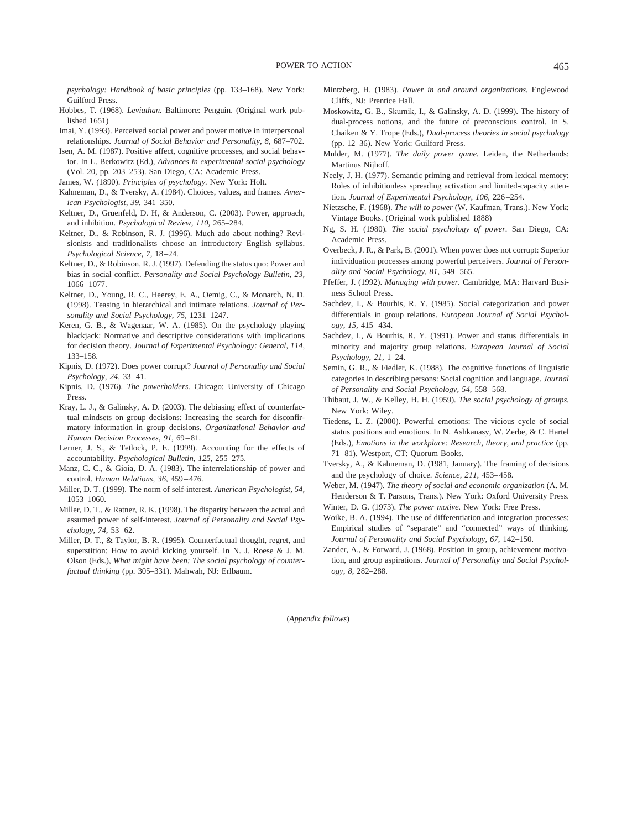*psychology: Handbook of basic principles* (pp. 133–168). New York: Guilford Press.

- Hobbes, T. (1968). *Leviathan.* Baltimore: Penguin. (Original work published 1651)
- Imai, Y. (1993). Perceived social power and power motive in interpersonal relationships. *Journal of Social Behavior and Personality, 8,* 687–702.
- Isen, A. M. (1987). Positive affect, cognitive processes, and social behavior. In L. Berkowitz (Ed.), *Advances in experimental social psychology* (Vol. 20, pp. 203–253). San Diego, CA: Academic Press.
- James, W. (1890). *Principles of psychology.* New York: Holt.
- Kahneman, D., & Tversky, A. (1984). Choices, values, and frames. *American Psychologist, 39,* 341–350.
- Keltner, D., Gruenfeld, D. H, & Anderson, C. (2003). Power, approach, and inhibition. *Psychological Review, 110,* 265–284.
- Keltner, D., & Robinson, R. J. (1996). Much ado about nothing? Revisionists and traditionalists choose an introductory English syllabus. *Psychological Science, 7,* 18–24.
- Keltner, D., & Robinson, R. J. (1997). Defending the status quo: Power and bias in social conflict. *Personality and Social Psychology Bulletin, 23,* 1066–1077.
- Keltner, D., Young, R. C., Heerey, E. A., Oemig, C., & Monarch, N. D. (1998). Teasing in hierarchical and intimate relations. *Journal of Personality and Social Psychology, 75,* 1231–1247.
- Keren, G. B., & Wagenaar, W. A. (1985). On the psychology playing blackjack: Normative and descriptive considerations with implications for decision theory. *Journal of Experimental Psychology: General, 114,* 133–158.
- Kipnis, D. (1972). Does power corrupt? *Journal of Personality and Social Psychology, 24,* 33–41.
- Kipnis, D. (1976). *The powerholders.* Chicago: University of Chicago Press.
- Kray, L. J., & Galinsky, A. D. (2003). The debiasing effect of counterfactual mindsets on group decisions: Increasing the search for disconfirmatory information in group decisions. *Organizational Behavior and Human Decision Processes, 91,* 69–81.
- Lerner, J. S., & Tetlock, P. E. (1999). Accounting for the effects of accountability. *Psychological Bulletin, 125,* 255–275.
- Manz, C. C., & Gioia, D. A. (1983). The interrelationship of power and control. *Human Relations, 36,* 459–476.
- Miller, D. T. (1999). The norm of self-interest. *American Psychologist, 54,* 1053–1060.
- Miller, D. T., & Ratner, R. K. (1998). The disparity between the actual and assumed power of self-interest. *Journal of Personality and Social Psychology, 74,* 53–62.
- Miller, D. T., & Taylor, B. R. (1995). Counterfactual thought, regret, and superstition: How to avoid kicking yourself. In N. J. Roese & J. M. Olson (Eds.), *What might have been: The social psychology of counterfactual thinking* (pp. 305–331). Mahwah, NJ: Erlbaum.
- Mintzberg, H. (1983). *Power in and around organizations.* Englewood Cliffs, NJ: Prentice Hall.
- Moskowitz, G. B., Skurnik, I., & Galinsky, A. D. (1999). The history of dual-process notions, and the future of preconscious control. In S. Chaiken & Y. Trope (Eds.), *Dual-process theories in social psychology* (pp. 12–36). New York: Guilford Press.
- Mulder, M. (1977). *The daily power game.* Leiden, the Netherlands: Martinus Nijhoff.
- Neely, J. H. (1977). Semantic priming and retrieval from lexical memory: Roles of inhibitionless spreading activation and limited-capacity attention. *Journal of Experimental Psychology, 106,* 226–254.
- Nietzsche, F. (1968). *The will to power* (W. Kaufman, Trans.). New York: Vintage Books. (Original work published 1888)
- Ng, S. H. (1980). *The social psychology of power.* San Diego, CA: Academic Press.
- Overbeck, J. R., & Park, B. (2001). When power does not corrupt: Superior individuation processes among powerful perceivers. *Journal of Personality and Social Psychology, 81,* 549–565.
- Pfeffer, J. (1992). *Managing with power.* Cambridge, MA: Harvard Business School Press.
- Sachdev, I., & Bourhis, R. Y. (1985). Social categorization and power differentials in group relations. *European Journal of Social Psychology, 15,* 415–434.
- Sachdev, I., & Bourhis, R. Y. (1991). Power and status differentials in minority and majority group relations. *European Journal of Social Psychology, 21,* 1–24.
- Semin, G. R., & Fiedler, K. (1988). The cognitive functions of linguistic categories in describing persons: Social cognition and language. *Journal of Personality and Social Psychology, 54,* 558–568.
- Thibaut, J. W., & Kelley, H. H. (1959). *The social psychology of groups.* New York: Wiley.
- Tiedens, L. Z. (2000). Powerful emotions: The vicious cycle of social status positions and emotions. In N. Ashkanasy, W. Zerbe, & C. Hartel (Eds.), *Emotions in the workplace: Research, theory, and practice* (pp. 71–81). Westport, CT: Quorum Books.
- Tversky, A., & Kahneman, D. (1981, January). The framing of decisions and the psychology of choice. *Science, 211,* 453–458.
- Weber, M. (1947). *The theory of social and economic organization* (A. M. Henderson & T. Parsons, Trans.). New York: Oxford University Press.
- Winter, D. G. (1973). *The power motive.* New York: Free Press.
- Woike, B. A. (1994). The use of differentiation and integration processes: Empirical studies of "separate" and "connected" ways of thinking. *Journal of Personality and Social Psychology, 67,* 142–150.
- Zander, A., & Forward, J. (1968). Position in group, achievement motivation, and group aspirations. *Journal of Personality and Social Psychology, 8,* 282–288.

(*Appendix follows*)